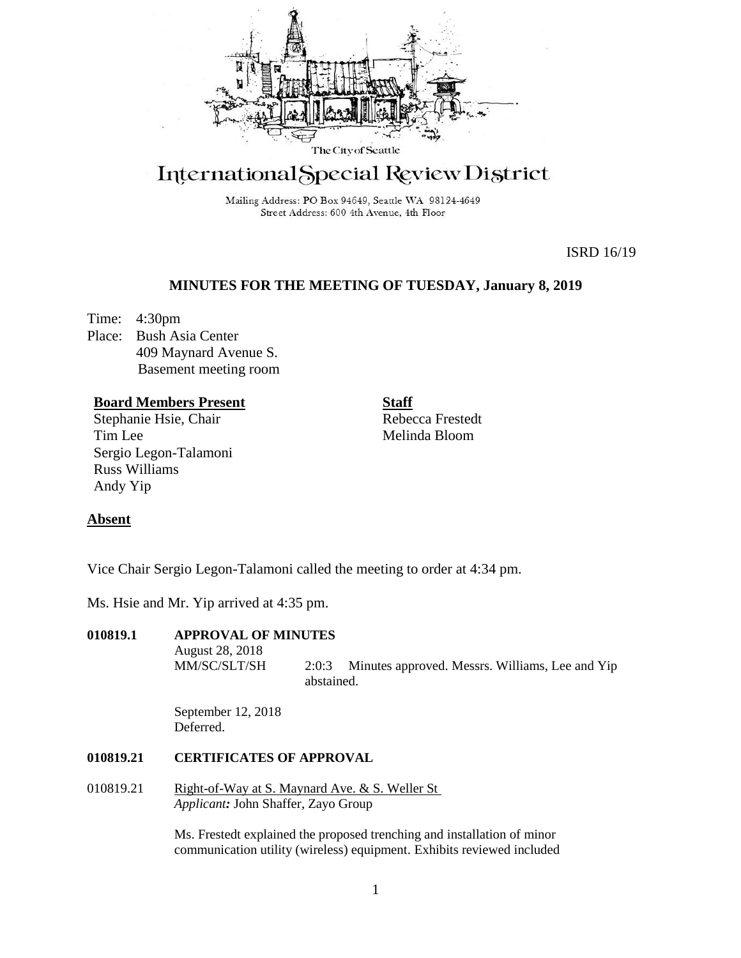

# International Special Review District

Mailing Address: PO Box 94649, Seattle WA 98124-4649 Street Address: 600 4th Avenue, 4th Floor

ISRD 16/19

# **MINUTES FOR THE MEETING OF TUESDAY, January 8, 2019**

Time: 4:30pm Place: Bush Asia Center 409 Maynard Avenue S. Basement meeting room

# **Board Members Present**

Stephanie Hsie, Chair Tim Lee Sergio Legon-Talamoni Russ Williams Andy Yip

**Staff** Rebecca Frestedt Melinda Bloom

# **Absent**

Vice Chair Sergio Legon-Talamoni called the meeting to order at 4:34 pm.

Ms. Hsie and Mr. Yip arrived at 4:35 pm.

# **010819.1 APPROVAL OF MINUTES**

August 28, 2018

MM/SC/SLT/SH 2:0:3 Minutes approved. Messrs. Williams, Lee and Yip abstained.

September 12, 2018 Deferred.

# **010819.21 CERTIFICATES OF APPROVAL**

010819.21 Right-of-Way at S. Maynard Ave. & S. Weller St *Applicant:* John Shaffer, Zayo Group

> Ms. Frestedt explained the proposed trenching and installation of minor communication utility (wireless) equipment. Exhibits reviewed included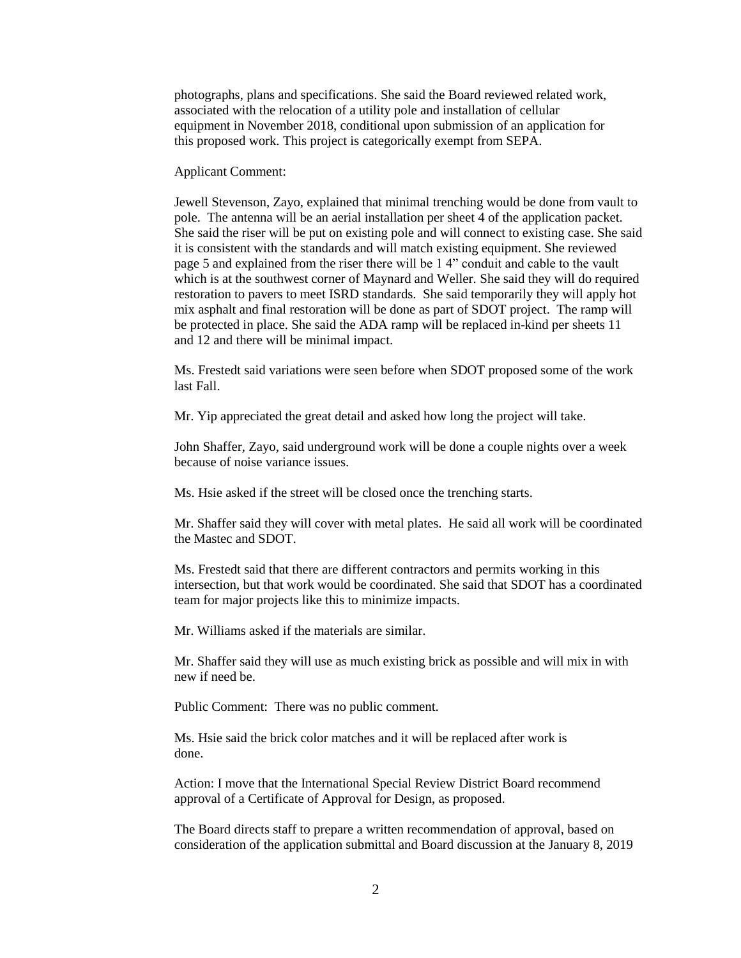photographs, plans and specifications. She said the Board reviewed related work, associated with the relocation of a utility pole and installation of cellular equipment in November 2018, conditional upon submission of an application for this proposed work. This project is categorically exempt from SEPA.

Applicant Comment:

Jewell Stevenson, Zayo, explained that minimal trenching would be done from vault to pole. The antenna will be an aerial installation per sheet 4 of the application packet. She said the riser will be put on existing pole and will connect to existing case. She said it is consistent with the standards and will match existing equipment. She reviewed page 5 and explained from the riser there will be 1 4" conduit and cable to the vault which is at the southwest corner of Maynard and Weller. She said they will do required restoration to pavers to meet ISRD standards. She said temporarily they will apply hot mix asphalt and final restoration will be done as part of SDOT project. The ramp will be protected in place. She said the ADA ramp will be replaced in-kind per sheets 11 and 12 and there will be minimal impact.

Ms. Frestedt said variations were seen before when SDOT proposed some of the work last Fall.

Mr. Yip appreciated the great detail and asked how long the project will take.

John Shaffer, Zayo, said underground work will be done a couple nights over a week because of noise variance issues.

Ms. Hsie asked if the street will be closed once the trenching starts.

Mr. Shaffer said they will cover with metal plates. He said all work will be coordinated the Mastec and SDOT.

Ms. Frestedt said that there are different contractors and permits working in this intersection, but that work would be coordinated. She said that SDOT has a coordinated team for major projects like this to minimize impacts.

Mr. Williams asked if the materials are similar.

Mr. Shaffer said they will use as much existing brick as possible and will mix in with new if need be.

Public Comment: There was no public comment.

Ms. Hsie said the brick color matches and it will be replaced after work is done.

Action: I move that the International Special Review District Board recommend approval of a Certificate of Approval for Design, as proposed.

The Board directs staff to prepare a written recommendation of approval, based on consideration of the application submittal and Board discussion at the January 8, 2019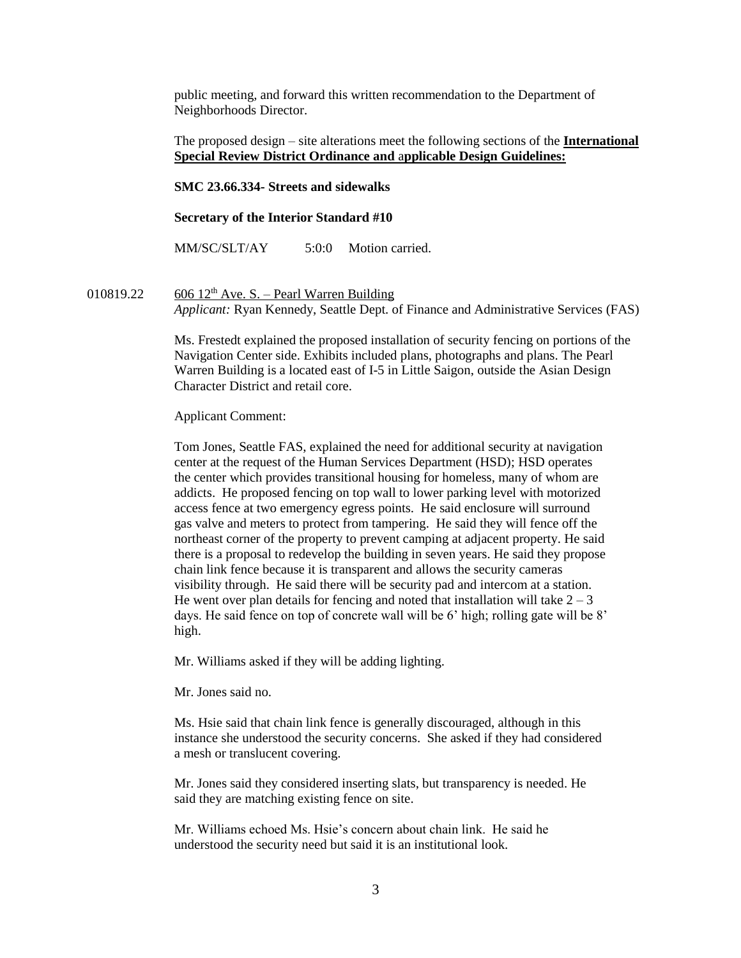public meeting, and forward this written recommendation to the Department of Neighborhoods Director.

The proposed design – site alterations meet the following sections of the **International Special Review District Ordinance and** a**pplicable Design Guidelines:**

**SMC 23.66.334- Streets and sidewalks**

#### **Secretary of the Interior Standard #10**

MM/SC/SLT/AY 5:0:0 Motion carried.

010819.22 606 12<sup>th</sup> Ave. S. – Pearl Warren Building *Applicant:* Ryan Kennedy, Seattle Dept. of Finance and Administrative Services (FAS)

> Ms. Frestedt explained the proposed installation of security fencing on portions of the Navigation Center side. Exhibits included plans, photographs and plans. The Pearl Warren Building is a located east of I-5 in Little Saigon, outside the Asian Design Character District and retail core.

Applicant Comment:

Tom Jones, Seattle FAS, explained the need for additional security at navigation center at the request of the Human Services Department (HSD); HSD operates the center which provides transitional housing for homeless, many of whom are addicts. He proposed fencing on top wall to lower parking level with motorized access fence at two emergency egress points. He said enclosure will surround gas valve and meters to protect from tampering. He said they will fence off the northeast corner of the property to prevent camping at adjacent property. He said there is a proposal to redevelop the building in seven years. He said they propose chain link fence because it is transparent and allows the security cameras visibility through. He said there will be security pad and intercom at a station. He went over plan details for fencing and noted that installation will take  $2 - 3$ days. He said fence on top of concrete wall will be 6' high; rolling gate will be 8' high.

Mr. Williams asked if they will be adding lighting.

Mr. Jones said no.

Ms. Hsie said that chain link fence is generally discouraged, although in this instance she understood the security concerns. She asked if they had considered a mesh or translucent covering.

Mr. Jones said they considered inserting slats, but transparency is needed. He said they are matching existing fence on site.

Mr. Williams echoed Ms. Hsie's concern about chain link. He said he understood the security need but said it is an institutional look.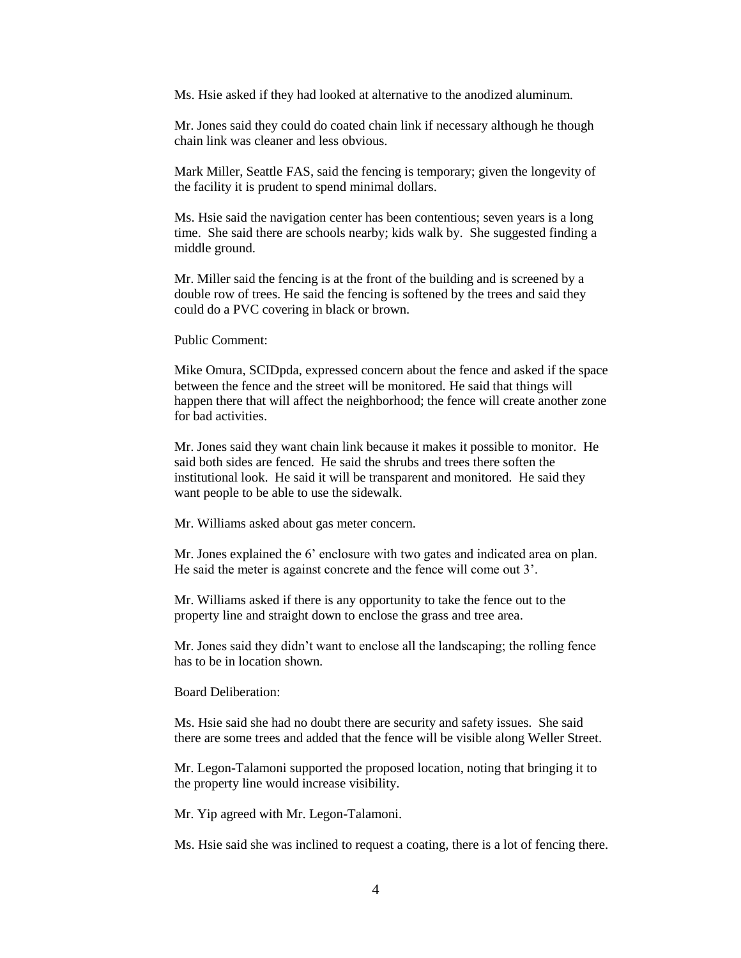Ms. Hsie asked if they had looked at alternative to the anodized aluminum.

Mr. Jones said they could do coated chain link if necessary although he though chain link was cleaner and less obvious.

Mark Miller, Seattle FAS, said the fencing is temporary; given the longevity of the facility it is prudent to spend minimal dollars.

Ms. Hsie said the navigation center has been contentious; seven years is a long time. She said there are schools nearby; kids walk by. She suggested finding a middle ground.

Mr. Miller said the fencing is at the front of the building and is screened by a double row of trees. He said the fencing is softened by the trees and said they could do a PVC covering in black or brown.

Public Comment:

Mike Omura, SCIDpda, expressed concern about the fence and asked if the space between the fence and the street will be monitored. He said that things will happen there that will affect the neighborhood; the fence will create another zone for bad activities.

Mr. Jones said they want chain link because it makes it possible to monitor. He said both sides are fenced. He said the shrubs and trees there soften the institutional look. He said it will be transparent and monitored. He said they want people to be able to use the sidewalk.

Mr. Williams asked about gas meter concern.

Mr. Jones explained the 6' enclosure with two gates and indicated area on plan. He said the meter is against concrete and the fence will come out 3'.

Mr. Williams asked if there is any opportunity to take the fence out to the property line and straight down to enclose the grass and tree area.

Mr. Jones said they didn't want to enclose all the landscaping; the rolling fence has to be in location shown.

Board Deliberation:

Ms. Hsie said she had no doubt there are security and safety issues. She said there are some trees and added that the fence will be visible along Weller Street.

Mr. Legon-Talamoni supported the proposed location, noting that bringing it to the property line would increase visibility.

Mr. Yip agreed with Mr. Legon-Talamoni.

Ms. Hsie said she was inclined to request a coating, there is a lot of fencing there.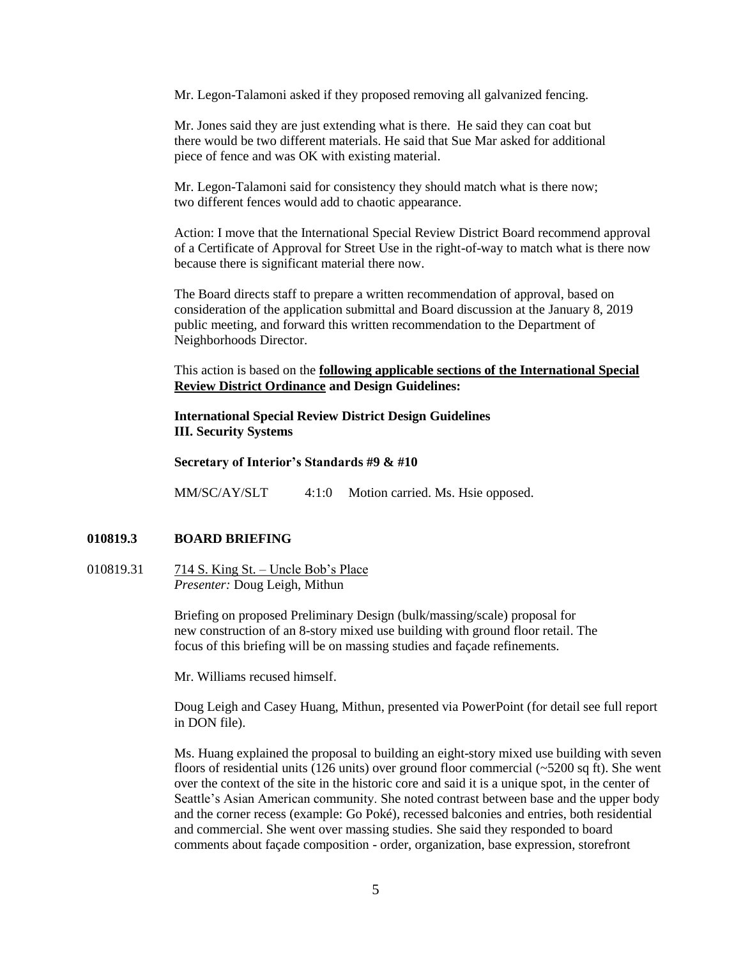Mr. Legon-Talamoni asked if they proposed removing all galvanized fencing.

Mr. Jones said they are just extending what is there. He said they can coat but there would be two different materials. He said that Sue Mar asked for additional piece of fence and was OK with existing material.

Mr. Legon-Talamoni said for consistency they should match what is there now; two different fences would add to chaotic appearance.

Action: I move that the International Special Review District Board recommend approval of a Certificate of Approval for Street Use in the right-of-way to match what is there now because there is significant material there now.

The Board directs staff to prepare a written recommendation of approval, based on consideration of the application submittal and Board discussion at the January 8, 2019 public meeting, and forward this written recommendation to the Department of Neighborhoods Director.

This action is based on the **following applicable sections of the International Special Review District Ordinance and Design Guidelines:** 

**International Special Review District Design Guidelines III. Security Systems**

**Secretary of Interior's Standards #9 & #10**

MM/SC/AY/SLT 4:1:0 Motion carried. Ms. Hsie opposed.

## **010819.3 BOARD BRIEFING**

010819.31 714 S. King St. – Uncle Bob's Place *Presenter:* Doug Leigh, Mithun

> Briefing on proposed Preliminary Design (bulk/massing/scale) proposal for new construction of an 8-story mixed use building with ground floor retail. The focus of this briefing will be on massing studies and façade refinements.

Mr. Williams recused himself.

Doug Leigh and Casey Huang, Mithun, presented via PowerPoint (for detail see full report in DON file).

Ms. Huang explained the proposal to building an eight-story mixed use building with seven floors of residential units (126 units) over ground floor commercial  $\left(-5200 \text{ sq ft}\right)$ . She went over the context of the site in the historic core and said it is a unique spot, in the center of Seattle's Asian American community. She noted contrast between base and the upper body and the corner recess (example: Go Poké), recessed balconies and entries, both residential and commercial. She went over massing studies. She said they responded to board comments about façade composition - order, organization, base expression, storefront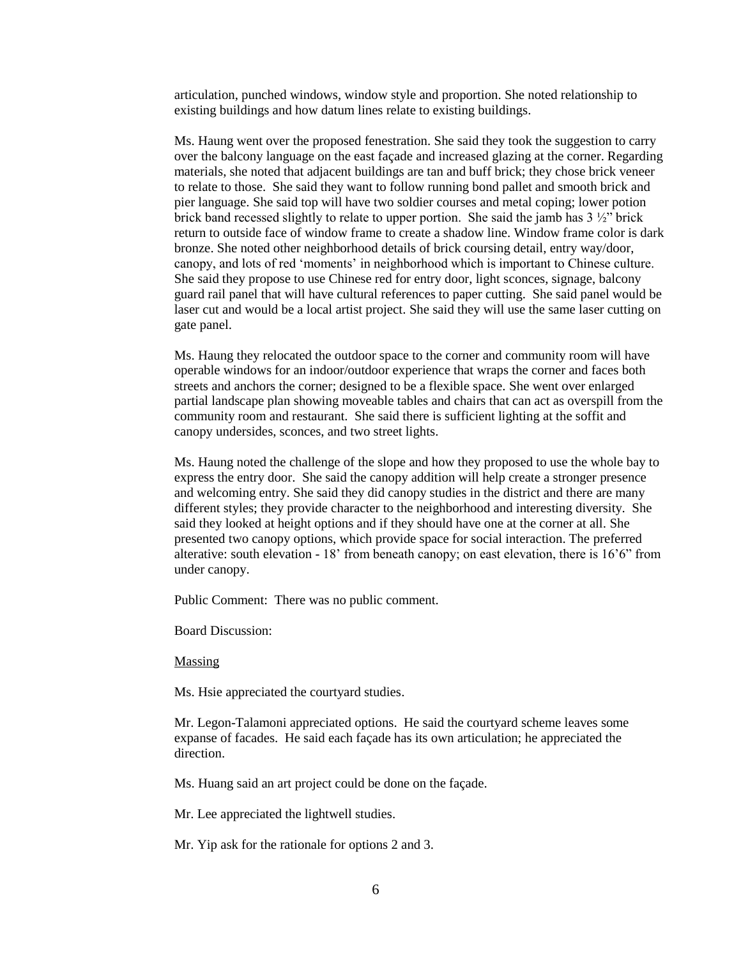articulation, punched windows, window style and proportion. She noted relationship to existing buildings and how datum lines relate to existing buildings.

Ms. Haung went over the proposed fenestration. She said they took the suggestion to carry over the balcony language on the east façade and increased glazing at the corner. Regarding materials, she noted that adjacent buildings are tan and buff brick; they chose brick veneer to relate to those. She said they want to follow running bond pallet and smooth brick and pier language. She said top will have two soldier courses and metal coping; lower potion brick band recessed slightly to relate to upper portion. She said the jamb has  $3\frac{1}{2}$  brick return to outside face of window frame to create a shadow line. Window frame color is dark bronze. She noted other neighborhood details of brick coursing detail, entry way/door, canopy, and lots of red 'moments' in neighborhood which is important to Chinese culture. She said they propose to use Chinese red for entry door, light sconces, signage, balcony guard rail panel that will have cultural references to paper cutting. She said panel would be laser cut and would be a local artist project. She said they will use the same laser cutting on gate panel.

Ms. Haung they relocated the outdoor space to the corner and community room will have operable windows for an indoor/outdoor experience that wraps the corner and faces both streets and anchors the corner; designed to be a flexible space. She went over enlarged partial landscape plan showing moveable tables and chairs that can act as overspill from the community room and restaurant. She said there is sufficient lighting at the soffit and canopy undersides, sconces, and two street lights.

Ms. Haung noted the challenge of the slope and how they proposed to use the whole bay to express the entry door. She said the canopy addition will help create a stronger presence and welcoming entry. She said they did canopy studies in the district and there are many different styles; they provide character to the neighborhood and interesting diversity. She said they looked at height options and if they should have one at the corner at all. She presented two canopy options, which provide space for social interaction. The preferred alterative: south elevation - 18' from beneath canopy; on east elevation, there is 16'6" from under canopy.

Public Comment: There was no public comment.

Board Discussion:

Massing

Ms. Hsie appreciated the courtyard studies.

Mr. Legon-Talamoni appreciated options. He said the courtyard scheme leaves some expanse of facades. He said each façade has its own articulation; he appreciated the direction.

Ms. Huang said an art project could be done on the façade.

Mr. Lee appreciated the lightwell studies.

Mr. Yip ask for the rationale for options 2 and 3.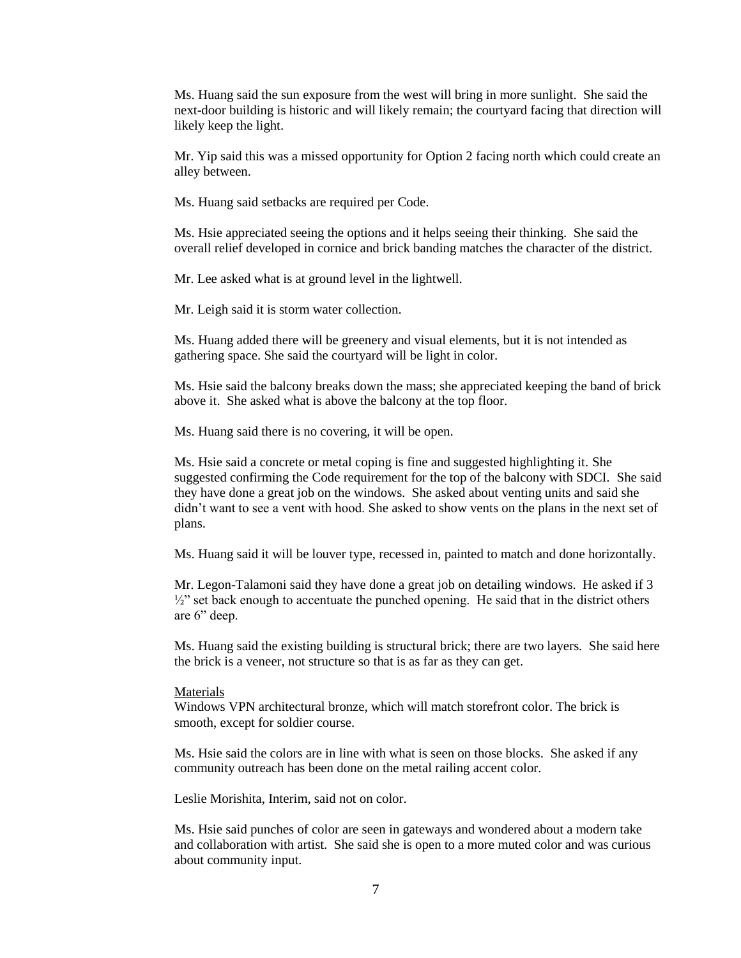Ms. Huang said the sun exposure from the west will bring in more sunlight. She said the next-door building is historic and will likely remain; the courtyard facing that direction will likely keep the light.

Mr. Yip said this was a missed opportunity for Option 2 facing north which could create an alley between.

Ms. Huang said setbacks are required per Code.

Ms. Hsie appreciated seeing the options and it helps seeing their thinking. She said the overall relief developed in cornice and brick banding matches the character of the district.

Mr. Lee asked what is at ground level in the lightwell.

Mr. Leigh said it is storm water collection.

Ms. Huang added there will be greenery and visual elements, but it is not intended as gathering space. She said the courtyard will be light in color.

Ms. Hsie said the balcony breaks down the mass; she appreciated keeping the band of brick above it. She asked what is above the balcony at the top floor.

Ms. Huang said there is no covering, it will be open.

Ms. Hsie said a concrete or metal coping is fine and suggested highlighting it. She suggested confirming the Code requirement for the top of the balcony with SDCI. She said they have done a great job on the windows. She asked about venting units and said she didn't want to see a vent with hood. She asked to show vents on the plans in the next set of plans.

Ms. Huang said it will be louver type, recessed in, painted to match and done horizontally.

Mr. Legon-Talamoni said they have done a great job on detailing windows. He asked if 3  $\frac{1}{2}$ " set back enough to accentuate the punched opening. He said that in the district others are 6" deep.

Ms. Huang said the existing building is structural brick; there are two layers. She said here the brick is a veneer, not structure so that is as far as they can get.

## **Materials**

Windows VPN architectural bronze, which will match storefront color. The brick is smooth, except for soldier course.

Ms. Hsie said the colors are in line with what is seen on those blocks. She asked if any community outreach has been done on the metal railing accent color.

Leslie Morishita, Interim, said not on color.

Ms. Hsie said punches of color are seen in gateways and wondered about a modern take and collaboration with artist. She said she is open to a more muted color and was curious about community input.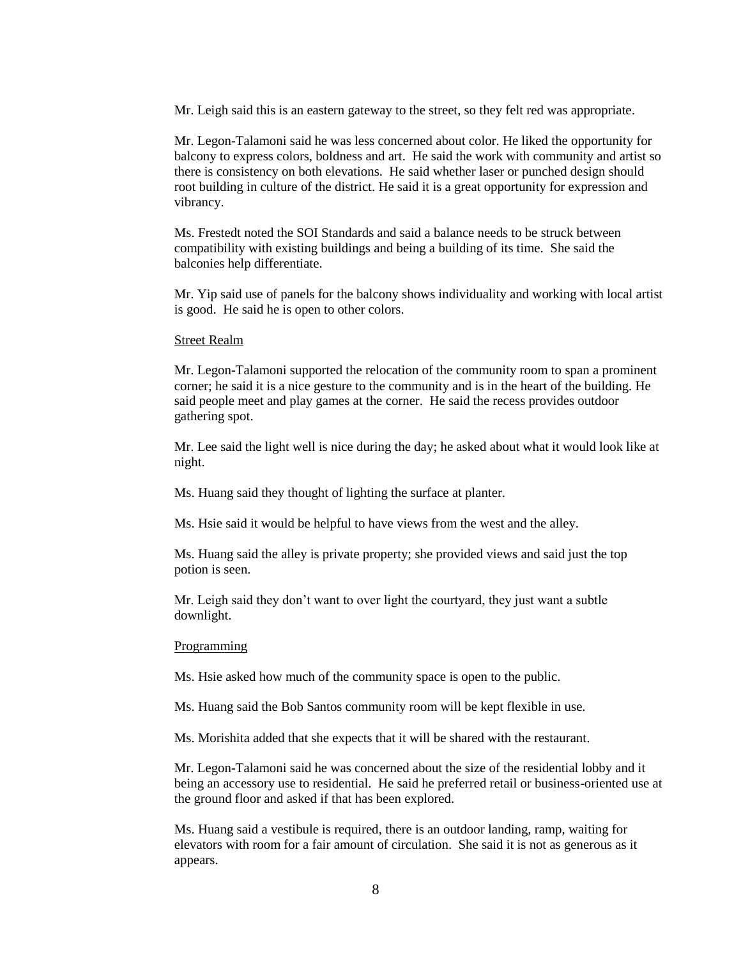Mr. Leigh said this is an eastern gateway to the street, so they felt red was appropriate.

Mr. Legon-Talamoni said he was less concerned about color. He liked the opportunity for balcony to express colors, boldness and art. He said the work with community and artist so there is consistency on both elevations. He said whether laser or punched design should root building in culture of the district. He said it is a great opportunity for expression and vibrancy.

Ms. Frestedt noted the SOI Standards and said a balance needs to be struck between compatibility with existing buildings and being a building of its time. She said the balconies help differentiate.

Mr. Yip said use of panels for the balcony shows individuality and working with local artist is good. He said he is open to other colors.

#### Street Realm

Mr. Legon-Talamoni supported the relocation of the community room to span a prominent corner; he said it is a nice gesture to the community and is in the heart of the building. He said people meet and play games at the corner. He said the recess provides outdoor gathering spot.

Mr. Lee said the light well is nice during the day; he asked about what it would look like at night.

Ms. Huang said they thought of lighting the surface at planter.

Ms. Hsie said it would be helpful to have views from the west and the alley.

Ms. Huang said the alley is private property; she provided views and said just the top potion is seen.

Mr. Leigh said they don't want to over light the courtyard, they just want a subtle downlight.

#### Programming

Ms. Hsie asked how much of the community space is open to the public.

Ms. Huang said the Bob Santos community room will be kept flexible in use.

Ms. Morishita added that she expects that it will be shared with the restaurant.

Mr. Legon-Talamoni said he was concerned about the size of the residential lobby and it being an accessory use to residential. He said he preferred retail or business-oriented use at the ground floor and asked if that has been explored.

Ms. Huang said a vestibule is required, there is an outdoor landing, ramp, waiting for elevators with room for a fair amount of circulation. She said it is not as generous as it appears.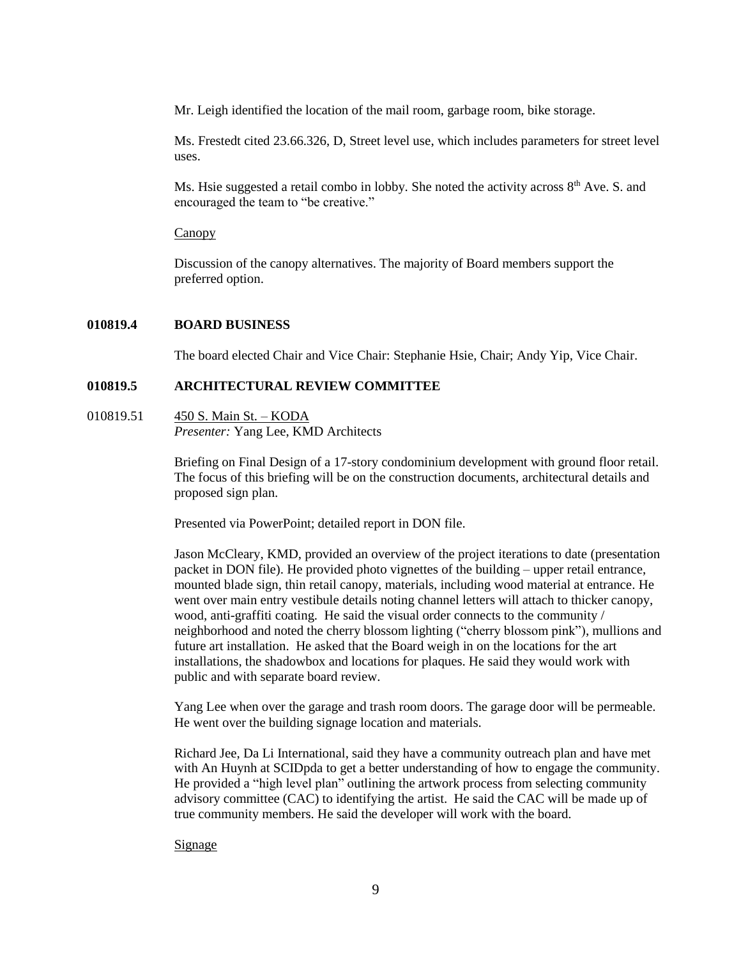Mr. Leigh identified the location of the mail room, garbage room, bike storage.

Ms. Frestedt cited 23.66.326, D, Street level use, which includes parameters for street level uses.

Ms. Hsie suggested a retail combo in lobby. She noted the activity across  $8<sup>th</sup>$  Ave. S. and encouraged the team to "be creative."

Canopy

Discussion of the canopy alternatives. The majority of Board members support the preferred option.

## **010819.4 BOARD BUSINESS**

The board elected Chair and Vice Chair: Stephanie Hsie, Chair; Andy Yip, Vice Chair.

# **010819.5 ARCHITECTURAL REVIEW COMMITTEE**

010819.51 450 S. Main St. – KODA *Presenter:* Yang Lee, KMD Architects

> Briefing on Final Design of a 17-story condominium development with ground floor retail. The focus of this briefing will be on the construction documents, architectural details and proposed sign plan.

Presented via PowerPoint; detailed report in DON file.

Jason McCleary, KMD, provided an overview of the project iterations to date (presentation packet in DON file). He provided photo vignettes of the building – upper retail entrance, mounted blade sign, thin retail canopy, materials, including wood material at entrance. He went over main entry vestibule details noting channel letters will attach to thicker canopy, wood, anti-graffiti coating. He said the visual order connects to the community / neighborhood and noted the cherry blossom lighting ("cherry blossom pink"), mullions and future art installation. He asked that the Board weigh in on the locations for the art installations, the shadowbox and locations for plaques. He said they would work with public and with separate board review.

Yang Lee when over the garage and trash room doors. The garage door will be permeable. He went over the building signage location and materials.

Richard Jee, Da Li International, said they have a community outreach plan and have met with An Huynh at SCIDpda to get a better understanding of how to engage the community. He provided a "high level plan" outlining the artwork process from selecting community advisory committee (CAC) to identifying the artist. He said the CAC will be made up of true community members. He said the developer will work with the board.

## **Signage**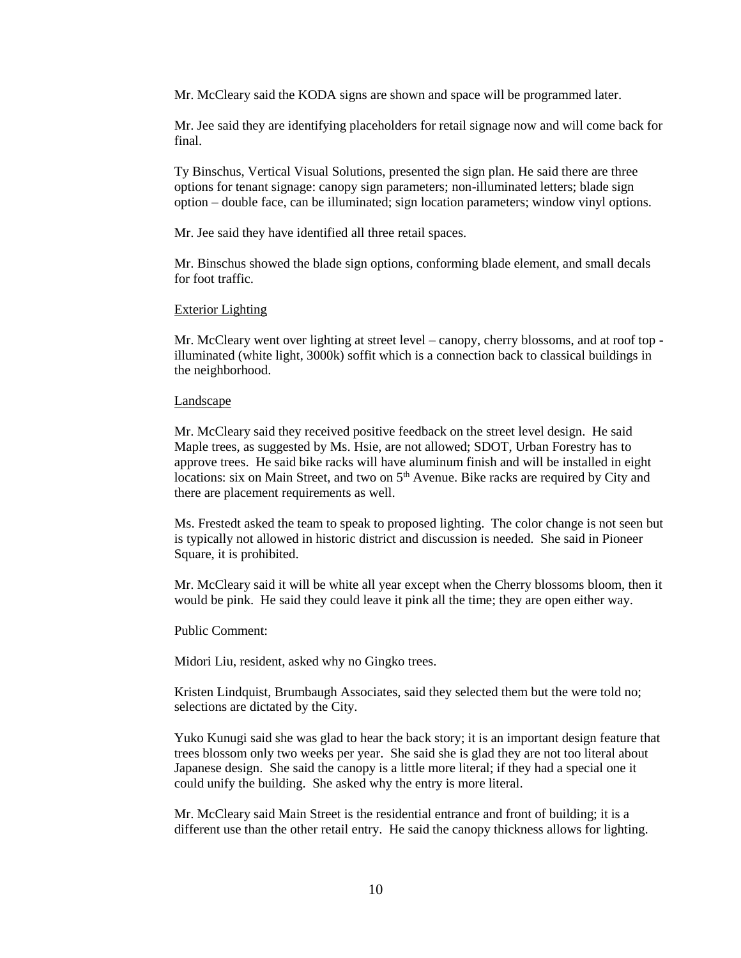Mr. McCleary said the KODA signs are shown and space will be programmed later.

Mr. Jee said they are identifying placeholders for retail signage now and will come back for final.

Ty Binschus, Vertical Visual Solutions, presented the sign plan. He said there are three options for tenant signage: canopy sign parameters; non-illuminated letters; blade sign option – double face, can be illuminated; sign location parameters; window vinyl options.

Mr. Jee said they have identified all three retail spaces.

Mr. Binschus showed the blade sign options, conforming blade element, and small decals for foot traffic.

#### Exterior Lighting

Mr. McCleary went over lighting at street level – canopy, cherry blossoms, and at roof top illuminated (white light, 3000k) soffit which is a connection back to classical buildings in the neighborhood.

#### Landscape

Mr. McCleary said they received positive feedback on the street level design. He said Maple trees, as suggested by Ms. Hsie, are not allowed; SDOT, Urban Forestry has to approve trees. He said bike racks will have aluminum finish and will be installed in eight locations: six on Main Street, and two on  $5<sup>th</sup>$  Avenue. Bike racks are required by City and there are placement requirements as well.

Ms. Frestedt asked the team to speak to proposed lighting. The color change is not seen but is typically not allowed in historic district and discussion is needed. She said in Pioneer Square, it is prohibited.

Mr. McCleary said it will be white all year except when the Cherry blossoms bloom, then it would be pink. He said they could leave it pink all the time; they are open either way.

Public Comment:

Midori Liu, resident, asked why no Gingko trees.

Kristen Lindquist, Brumbaugh Associates, said they selected them but the were told no; selections are dictated by the City.

Yuko Kunugi said she was glad to hear the back story; it is an important design feature that trees blossom only two weeks per year. She said she is glad they are not too literal about Japanese design. She said the canopy is a little more literal; if they had a special one it could unify the building. She asked why the entry is more literal.

Mr. McCleary said Main Street is the residential entrance and front of building; it is a different use than the other retail entry. He said the canopy thickness allows for lighting.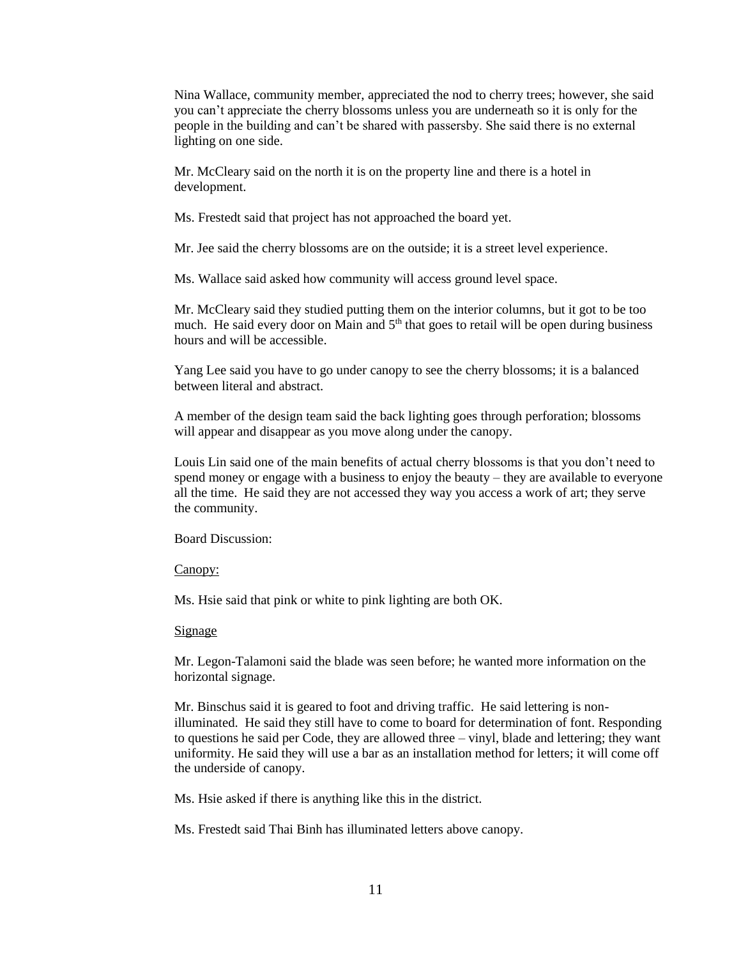Nina Wallace, community member, appreciated the nod to cherry trees; however, she said you can't appreciate the cherry blossoms unless you are underneath so it is only for the people in the building and can't be shared with passersby. She said there is no external lighting on one side.

Mr. McCleary said on the north it is on the property line and there is a hotel in development.

Ms. Frestedt said that project has not approached the board yet.

Mr. Jee said the cherry blossoms are on the outside; it is a street level experience.

Ms. Wallace said asked how community will access ground level space.

Mr. McCleary said they studied putting them on the interior columns, but it got to be too much. He said every door on Main and 5<sup>th</sup> that goes to retail will be open during business hours and will be accessible.

Yang Lee said you have to go under canopy to see the cherry blossoms; it is a balanced between literal and abstract.

A member of the design team said the back lighting goes through perforation; blossoms will appear and disappear as you move along under the canopy.

Louis Lin said one of the main benefits of actual cherry blossoms is that you don't need to spend money or engage with a business to enjoy the beauty – they are available to everyone all the time. He said they are not accessed they way you access a work of art; they serve the community.

Board Discussion:

Canopy:

Ms. Hsie said that pink or white to pink lighting are both OK.

## Signage

Mr. Legon-Talamoni said the blade was seen before; he wanted more information on the horizontal signage.

Mr. Binschus said it is geared to foot and driving traffic. He said lettering is nonilluminated. He said they still have to come to board for determination of font. Responding to questions he said per Code, they are allowed three – vinyl, blade and lettering; they want uniformity. He said they will use a bar as an installation method for letters; it will come off the underside of canopy.

Ms. Hsie asked if there is anything like this in the district.

Ms. Frestedt said Thai Binh has illuminated letters above canopy.